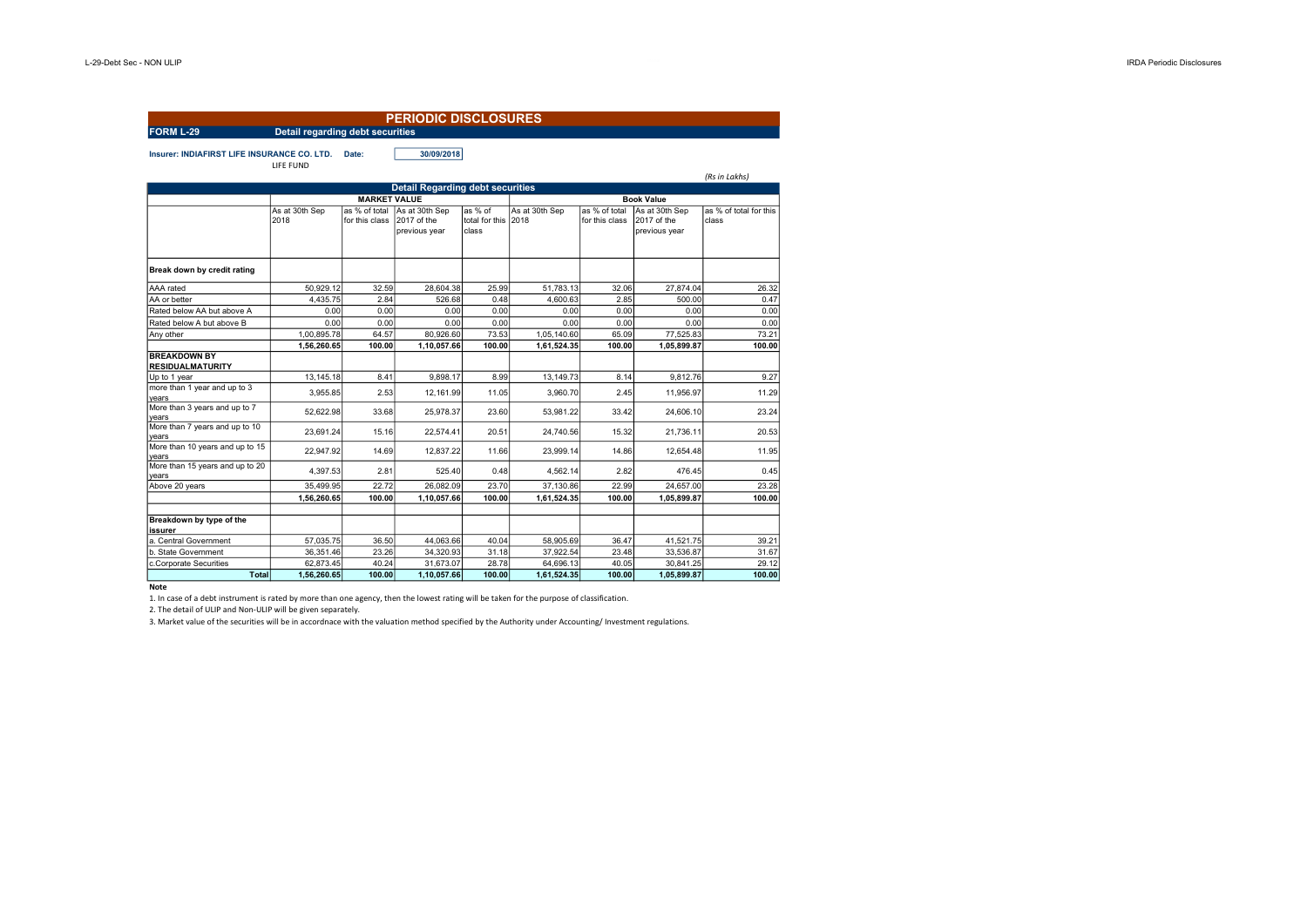| <b>FORM L-29</b>                                                                | <b>Detail regarding debt securities</b> |                                 | <b>PERIODIC DISCLOSURES</b>                    |                                         |                          |                                 |                                                |                                 |  |
|---------------------------------------------------------------------------------|-----------------------------------------|---------------------------------|------------------------------------------------|-----------------------------------------|--------------------------|---------------------------------|------------------------------------------------|---------------------------------|--|
| 30/09/2018<br>Insurer: INDIAFIRST LIFE INSURANCE CO. LTD.<br>Date:<br>LIFE FUND |                                         |                                 |                                                |                                         |                          |                                 |                                                |                                 |  |
|                                                                                 |                                         |                                 |                                                |                                         |                          |                                 |                                                | (Rs in Lakhs)                   |  |
|                                                                                 |                                         | <b>MARKET VALUE</b>             | <b>Detail Regarding debt securities</b>        |                                         |                          |                                 | <b>Book Value</b>                              |                                 |  |
|                                                                                 | As at 30th Sep<br>2018                  | as % of total<br>for this class | As at 30th Sep<br>2017 of the<br>previous year | as % of<br>total for this 2018<br>class | As at 30th Sep           | as % of total<br>for this class | As at 30th Sep<br>2017 of the<br>previous year | as % of total for this<br>class |  |
| Break down by credit rating                                                     |                                         |                                 |                                                |                                         |                          |                                 |                                                |                                 |  |
| AAA rated                                                                       | 50,929.12                               | 32.59                           | 28,604.38                                      | 25.99                                   | 51,783.13                | 32.06                           | 27,874.04                                      | 26.32                           |  |
| AA or better                                                                    | 4.435.75                                | 2.84                            | 526.68                                         | 0.48                                    | 4.600.63                 | 2.85                            | 500.00                                         | 0.47                            |  |
| Rated below AA but above A                                                      | 0.00                                    | 0.00                            | 0.00                                           | 0.00                                    | 0.00                     | 0.00                            | 0.00                                           | 0.00                            |  |
| Rated below A but above B                                                       | 0.00                                    | 0.00                            | 0.00                                           | 0.00                                    | 0.00                     | 0.00                            | 0.00                                           | 0.00                            |  |
| Any other                                                                       | 1,00,895.78                             | 64.57                           | 80,926.60                                      | 73.53                                   | 1,05,140.60              | 65.09                           | 77,525.83                                      | 73.21                           |  |
|                                                                                 | 1,56,260.65                             | 100.00                          | 1,10,057.66                                    | 100.00                                  | 1,61,524.35              | 100.00                          | 1,05,899.87                                    | 100.00                          |  |
| <b>BREAKDOWN BY</b><br><b>RESIDUALMATURITY</b>                                  |                                         |                                 |                                                |                                         |                          |                                 |                                                |                                 |  |
| Up to 1 year                                                                    | 13,145.18                               | 8.41                            | 9,898.17                                       | 8.99                                    | 13,149.73                | 8.14                            | 9,812.76                                       | 9.27                            |  |
| more than 1 year and up to 3<br>years                                           | 3.955.85                                | 2.53                            | 12.161.99                                      | 11.05                                   | 3.960.70                 | 2.45                            | 11.956.97                                      | 11.29                           |  |
| More than 3 years and up to 7<br>vears                                          | 52.622.98                               | 33.68                           | 25.978.37                                      | 23.60                                   | 53.981.22                | 33.42                           | 24.606.10                                      | 23.24                           |  |
| More than 7 years and up to 10<br>years                                         | 23.691.24                               | 15.16                           | 22.574.41                                      | 20.51                                   | 24.740.56                | 15.32                           | 21,736.11                                      | 20.53                           |  |
| More than 10 years and up to 15<br>vears                                        | 22.947.92                               | 14.69                           | 12.837.22                                      | 11.66                                   | 23.999.14                | 14.86                           | 12.654.48                                      | 11.95                           |  |
| More than 15 years and up to 20<br>years                                        | 4.397.53                                | 2.81                            | 525.40                                         | 0.48                                    | 4.562.14                 | 2.82                            | 476.45                                         | 0.45                            |  |
| Above 20 years                                                                  | 35,499.95<br>1,56,260.65                | 22.72<br>100.00                 | 26,082.09<br>1,10,057.66                       | 23.70<br>100.00                         | 37,130.86<br>1,61,524.35 | 22.99<br>100.00                 | 24.657.00<br>1,05,899.87                       | 23.28<br>100.00                 |  |
| Breakdown by type of the                                                        |                                         |                                 |                                                |                                         |                          |                                 |                                                |                                 |  |
| issurer<br>a. Central Government                                                | 57,035.75                               | 36.50                           | 44,063.66                                      | 40.04                                   | 58.905.69                | 36.47                           | 41,521.75                                      | 39.21                           |  |
| b. State Government                                                             | 36,351.46                               | 23.26                           | 34,320.93                                      | 31.18                                   | 37,922.54                | 23.48                           | 33,536.87                                      | 31.67                           |  |
| c.Corporate Securities                                                          | 62,873.45                               | 40.24                           | 31,673.07                                      | 28.78                                   | 64,696.13                | 40.05                           | 30,841.25                                      | 29.12                           |  |
| Total                                                                           | 1.56.260.65                             | 100.00                          | 1.10.057.66                                    | 100.00                                  | 1.61.524.35              | 100.00                          | 1,05,899.87                                    | 100.00                          |  |

## **Note**

1. In case of a debt instrument is rated by more than one agency, then the lowest rating will be taken for the purpose of classification.

2. The detail of ULIP and Non-ULIP will be given separately.

3. Market value of the securities will be in accordnace with the valuation method specified by the Authority under Accounting/ Investment regulations.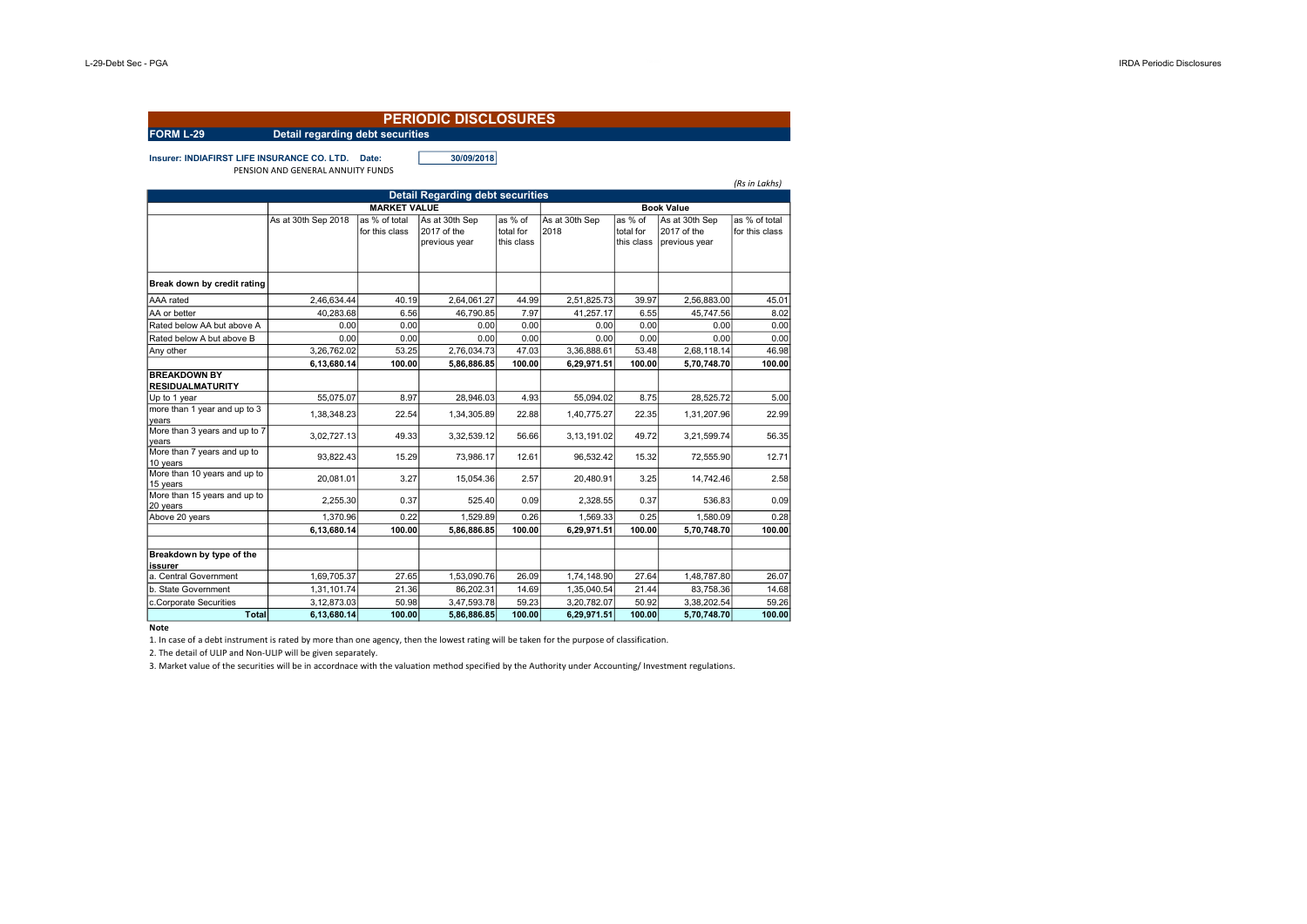| <b>PERIODIC DISCLOSURES</b>                                                                                                                                                                                                                                                                            |                                                                                                                         |                                                                             |                                                                                                                       |                                                                             |                                                                                                                         |                                                                             |                                                                                                                       |                                                                             |  |  |
|--------------------------------------------------------------------------------------------------------------------------------------------------------------------------------------------------------------------------------------------------------------------------------------------------------|-------------------------------------------------------------------------------------------------------------------------|-----------------------------------------------------------------------------|-----------------------------------------------------------------------------------------------------------------------|-----------------------------------------------------------------------------|-------------------------------------------------------------------------------------------------------------------------|-----------------------------------------------------------------------------|-----------------------------------------------------------------------------------------------------------------------|-----------------------------------------------------------------------------|--|--|
| <b>FORM L-29</b>                                                                                                                                                                                                                                                                                       | Detail regarding debt securities                                                                                        |                                                                             |                                                                                                                       |                                                                             |                                                                                                                         |                                                                             |                                                                                                                       |                                                                             |  |  |
| Insurer: INDIAFIRST LIFE INSURANCE CO. LTD. Date:                                                                                                                                                                                                                                                      | PENSION AND GENERAL ANNUITY FUNDS                                                                                       |                                                                             | 30/09/2018                                                                                                            |                                                                             |                                                                                                                         |                                                                             |                                                                                                                       | (Rs in Lakhs)                                                               |  |  |
|                                                                                                                                                                                                                                                                                                        |                                                                                                                         |                                                                             | <b>Detail Regarding debt securities</b>                                                                               |                                                                             |                                                                                                                         |                                                                             |                                                                                                                       |                                                                             |  |  |
|                                                                                                                                                                                                                                                                                                        |                                                                                                                         | <b>MARKET VALUE</b>                                                         |                                                                                                                       | <b>Book Value</b>                                                           |                                                                                                                         |                                                                             |                                                                                                                       |                                                                             |  |  |
|                                                                                                                                                                                                                                                                                                        | As at 30th Sep 2018                                                                                                     | as % of total<br>for this class                                             | As at 30th Sep<br>2017 of the<br>previous year                                                                        | as % of<br>total for<br>this class                                          | As at 30th Sep<br>2018                                                                                                  | as % of<br>total for<br>this class                                          | As at 30th Sep<br>2017 of the<br>previous year                                                                        | as % of total<br>for this class                                             |  |  |
| Break down by credit rating                                                                                                                                                                                                                                                                            |                                                                                                                         |                                                                             |                                                                                                                       |                                                                             |                                                                                                                         |                                                                             |                                                                                                                       |                                                                             |  |  |
| AAA rated                                                                                                                                                                                                                                                                                              | 2,46,634.44                                                                                                             | 40.19                                                                       | 2,64,061.27                                                                                                           | 44.99                                                                       | 2,51,825.73                                                                                                             | 39.97                                                                       | 2,56,883.00                                                                                                           | 45.01                                                                       |  |  |
| AA or better                                                                                                                                                                                                                                                                                           | 40.283.68                                                                                                               | 6.56                                                                        | 46.790.85                                                                                                             | 7.97                                                                        | 41.257.17                                                                                                               | 6.55                                                                        | 45.747.56                                                                                                             | 8.02                                                                        |  |  |
| Rated below AA but above A                                                                                                                                                                                                                                                                             | 0.00                                                                                                                    | 0.00                                                                        | 0.00                                                                                                                  | 0.00                                                                        | 0.00                                                                                                                    | 0.00                                                                        | 0.00                                                                                                                  | 0.00                                                                        |  |  |
| Rated below A but above B                                                                                                                                                                                                                                                                              | 0.00                                                                                                                    | 0.00                                                                        | 0.00                                                                                                                  | 0.00                                                                        | 0.00                                                                                                                    | 0.00                                                                        | 0.00                                                                                                                  | 0.00                                                                        |  |  |
| Any other                                                                                                                                                                                                                                                                                              | 3,26,762.02                                                                                                             | 53.25                                                                       | 2,76,034.73                                                                                                           | 47.03                                                                       | 3,36,888.61                                                                                                             | 53.48                                                                       | 2,68,118.14                                                                                                           | 46.98                                                                       |  |  |
| <b>BREAKDOWN BY</b><br><b>RESIDUALMATURITY</b><br>Up to 1 year<br>more than 1 year and up to 3<br>years<br>More than 3 years and up to 7<br>years<br>More than 7 years and up to<br>10 years<br>More than 10 years and up to<br>15 years<br>More than 15 years and up to<br>20 years<br>Above 20 years | 6,13,680.14<br>55.075.07<br>1,38,348.23<br>3,02,727.13<br>93,822.43<br>20.081.01<br>2.255.30<br>1.370.96<br>6,13,680.14 | 100.00<br>8.97<br>22.54<br>49.33<br>15.29<br>3.27<br>0.37<br>0.22<br>100.00 | 5.86.886.85<br>28.946.03<br>1,34,305.89<br>3,32,539.12<br>73,986.17<br>15.054.36<br>525.40<br>1.529.89<br>5,86,886.85 | 100.00<br>4.93<br>22.88<br>56.66<br>12.61<br>2.57<br>0.09<br>0.26<br>100.00 | 6.29.971.51<br>55.094.02<br>1,40,775.27<br>3,13,191.02<br>96,532.42<br>20.480.91<br>2,328.55<br>1,569.33<br>6,29,971.51 | 100.00<br>8.75<br>22.35<br>49.72<br>15.32<br>3.25<br>0.37<br>0.25<br>100.00 | 5.70.748.70<br>28.525.72<br>1,31,207.96<br>3,21,599.74<br>72,555.90<br>14,742.46<br>536.83<br>1.580.09<br>5,70,748.70 | 100.00<br>5.00<br>22.99<br>56.35<br>12.71<br>2.58<br>0.09<br>0.28<br>100.00 |  |  |
| Breakdown by type of the<br>issurer<br>a. Central Government<br>b. State Government<br>c.Corporate Securities<br><b>Total</b>                                                                                                                                                                          | 1,69,705.37<br>1,31,101.74<br>3,12,873.03<br>6,13,680.14                                                                | 27.65<br>21.36<br>50.98<br>100.00                                           | 1,53,090.76<br>86,202.31<br>3,47,593.78<br>5,86,886.85                                                                | 26.09<br>14.69<br>59.23<br>100.00                                           | 1,74,148.90<br>1,35,040.54<br>3,20,782.07<br>6,29,971.51                                                                | 27.64<br>21.44<br>50.92<br>100.00                                           | 1,48,787.80<br>83,758.36<br>3,38,202.54<br>5,70,748.70                                                                | 26.07<br>14.68<br>59.26<br>100.00                                           |  |  |

**Note** 

1. In case of a debt instrument is rated by more than one agency, then the lowest rating will be taken for the purpose of classification.

2. The detail of ULIP and Non-ULIP will be given separately.

3. Market value of the securities will be in accordnace with the valuation method specified by the Authority under Accounting/ Investment regulations.